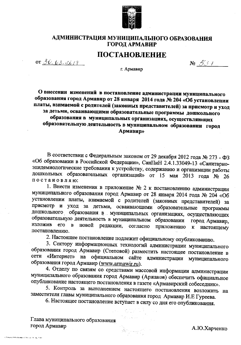

# АДМИНИСТРАЦИЯ МУНИЦИПАЛЬНОГО ОБРАЗОВАНИЯ ГОРОД АРМАВИР

# **ПОСТАНОВЛЕНИЕ**

or 30.03.  $\alpha_{18}$ 

 $N_2$   $\mathcal{L}$   $\mathcal{L}$   $\mathcal{L}$ 

г. Армавир

О внесении изменений в постановление администрации муниципального образования город Армавир от 28 января 2014 года № 204 «Об установлении платы, взимаемой с родителей (законных представителей) за присмотр и уход за детьми, осваивающими образовательные программы дошкольного образования в муниципальных организациях, осуществляющих образовательную деятельность в муниципальном образовании город **Армавир»** 

В соответствии с Федеральным законом от 29 декабря 2012 года № 273 - ФЗ «Об образовании в Российской Федерации», СанПиН 2.4.1.33049-13 «Санитарноэпидемиологические требования к устройству, содержанию и организации работы дошкольных образовательных организаций» от 15 мая 2013 года № 26 постановляю:

1. Внести изменения в приложение № 2 к постановлению администрации муниципального образования город Армавир от 28 января 2014 года № 204 «Об установлении платы, взимаемой с родителей (законных представителей) за присмотр и уход за детьми, осваивающими образовательные программы дошкольного образования в муниципальных организациях, осуществляющих образовательную деятельность в муниципальном образовании город Армавир, изложив его в новой редакции, согласно приложению к настоящему постановлению.

2. Настоящее постановление подлежит официальному опубликованию.

3. Сектору информационных технологий администрации муниципального образования город Армавир (Степовой) разместить настоящее постановление в сети «Интернет» на официальном сайте администрации муниципального образования город Армавир (www.armawir.ru).

4. Отделу по связям со средствами массовой информации администрации муниципального образования город Армавир (Аржаков) обеспечить официальное опубликование настоящего постановления в газете «Армавирский собеседник».

5. Контроль за выполнением настоящего постановления возложить на заместителя главы муниципального образования город Армавир И.Е Гуреева.

6. Настоящее постановление вступает в силу со дня его опубликования.

Глава муниципального образования город Армавир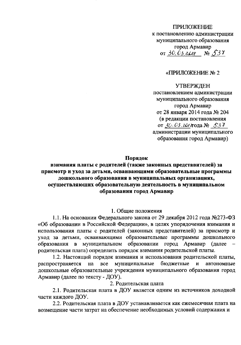## **ПРИЛОЖЕНИЕ**

к постановлению администрации муниципального образования город Армавир or 30.03  $208$  No  $537$ 

## «ПРИЛОЖЕНИЕ № 2

# **УТВЕРЖДЕН**

постановлением администрации муниципального образования город Армавир от 28 января 2014 года № 204 (в редакции постановления от 30.03. года № 537 администрации муниципального образования город Армавир)

## Порядок

# взимания платы с родителей (также законных представителей) за присмотр и уход за детьми, осваивающими образовательные программы дошкольного образования в муниципальных организациях, осуществляющих образовательную деятельность в муниципальном образовании город Армавир

#### 1. Общие положения

1.1. На основании Федерального закона от 29 декабря 2012 года №273-ФЗ «Об образовании в Российской Федерации», в целях упорядочения взимания и использования платы с родителей (законных представителей) за присмотр и уход за детьми, осваивающими образовательные программы дошкольного образования в муниципальном образовании город Армавир (далее родительская плата) определить порядок взимания родительской платы.

1.2. Настоящий порядок взимания и использования родительской платы, распространяется на муниципальные бюджетные **BCC**  $\mathbf{M}$ автономные дошкольные образовательные учреждения муниципального образования город Армавир (далее по тексту - ДОУ).

## 2. Родительская плата

2.1. Родительская плата в ДОУ является одним из источников доходной части каждого ДОУ.

2.2. Родительская плата в ДОУ устанавливается как ежемесячная плата на возмещение части затрат на обеспечение необходимых условий содержания и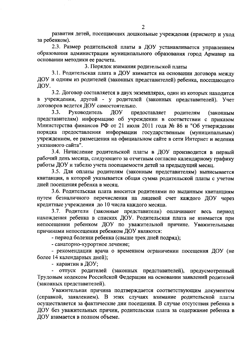развития детей, посещающих дошкольные учреждения (присмотр и уход за ребенком).

2.3. Размер родительской платы в ДОУ устанавливается управлением образования администрации муниципального образования город Армавир на основании методики ее расчета.

3. Порядок взимания родительской платы

3.1. Родительская плата в ДОУ взимается на основании договора между ДОУ и одним из родителей (законных представителей) ребенка, посещающего ДОУ.

3.2. Договор составляется в двух экземплярах, один из которых находится в учреждении, другой - у родителей (законных представителей). Учет договоров ведется ДОУ самостоятельно.

Руководитель  $3.3.$ ЛОУ предоставляет родителям (законным представителям) информацию об учреждении в соответствии с приказом Министерства финансов РФ от 21 июля 2011 года № 86 н "Об утверждении порядка предоставления информации государственным (муниципальным) учреждением, ее размещения на официальном сайте в сети Интернет и ведения указанного сайта".

3.4. Начисление родительской платы в ДОУ производится в первый рабочий день месяца, следующего за отчетным согласно календарному графику работы ДОУ и табелю учета посещаемости детей за предыдущий месяц.

3.5. Для оплаты родителям (законным представителям) выписывается квитанция, в которой указывается общая сумма родительской платы с учетом дней посещения ребенка в месяц.

3.6. Родительская плата вносится родителями по выданным квитанциям путем безналичного перечисления на лицевой счет каждого ДОУ через кредитные учреждения до 10 числа каждого месяца.

3.7. Родители (законные представители) оплачивают весь период нахождения ребенка в списках ДОУ. Родительская плата не взимается при непосещении ребенком ДОУ по уважительной причине. Уважительными причинами непосещения ребенком ДОУ являются:

- период болезни ребенка (свыше трех дней подряд);

- санаторно-курортное лечение;

- рекомендации врача о временном ограничении посещения ДОУ (не более 14 календарных дней);

- карантин в ДОУ;

- отпуск родителей (законных представителей), предусмотренный Трудовым кодексом Российской Федерации на основании заявлений родителей (законных представителей).

Уважительная причина подтверждается соответствующим документом (справкой, заявлением). В этих случаях взимание родительской платы осуществляется за фактические дни посещения. В случае отсутствия ребенка в ДОУ без уважительных причин, родительская плата за содержание ребенка в ДОУ взимается в полном объеме.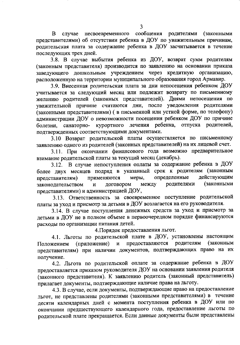сообщения родителями случае несвоевременного  $\mathbf{B}$ (законными представителями) об отсутствии ребенка в ДОУ по уважительным причинам, родительская плата за содержание ребенка в ДОУ засчитывается в течение последующих трех дней.

3.8. В случае выбытия ребенка из ДОУ, возврат сумм родителям (законным представителя) производится по заявлению на основании приказа заведующего дошкольным учреждением через кредитную организацию, расположенную на территории муниципального образования город Армавир.

3.9. Внесенная родительская плата за дни непосещения ребенком ДОУ учитывается за следующий месяц или подлежит возврату по письменному желанию родителей (законных представителей). Днями непосещения по уважительной причине считаются дни, после уведомления родителями (законными представителями) ( в письменной или устной форме, по телефону) администрации ДОУ о невозможности посещения ребенком ДОУ по причине болезни, санаторно- курортного лечения ребенка, отпуска родителей, подтвержденных соответствующими документами.

3.10 Возврат родительской платы осуществляется по письменному заявлению одного из родителей (законных представителей) на их лицевой счет.

3.11. При окончании финансового года возможно предварительное взимание родительской платы за текущий месяц (декабрь).

3.12. В случае непоступления оплаты за содержание ребенка в ДОУ более двух месяцев подряд в указанный срок к родителям (законным определенные действующим применяются меры, представителям) (законными родителями законодательством  $\overline{\mathbf{H}}$ договором между представителями) и администрацией ДОУ,

3.13. Ответственность за своевременное поступление родительской платы за уход и присмотр за детьми в ДОУ возлагается на его руководителя.

3.14. В случае поступления денежных средств за уход и присмотр за детьми в ДОУ не в полном объеме в первоочередном порядке финансируются расходы по организации питания детей.

4. Порядок предоставления льгот.

4.1. Льготы по родительской плате в ДОУ, установлены настоящим предоставляются родителям (законным (приложение) и Положением представителям) при наличии документов, подтверждающих право на их получение.

4.2. Льгота по родительской оплате за содержание ребенка в ДОУ предоставляется приказом руководителя ДОУ на основании заявления родителя (законного представителя). К заявлению родитель (законный представитель) прилагает документы, подтверждающие наличие права на льготу.

4.3. В случае, если документы, подтверждающие право на предоставление льгот, не представлены родителями (законными представителями) в течение десяти календарных дней с момента поступления ребенка в ДОУ или по окончании предшествующего календарного года, предоставление льготы по родительской плате прекращается. Если данные документы были представлены